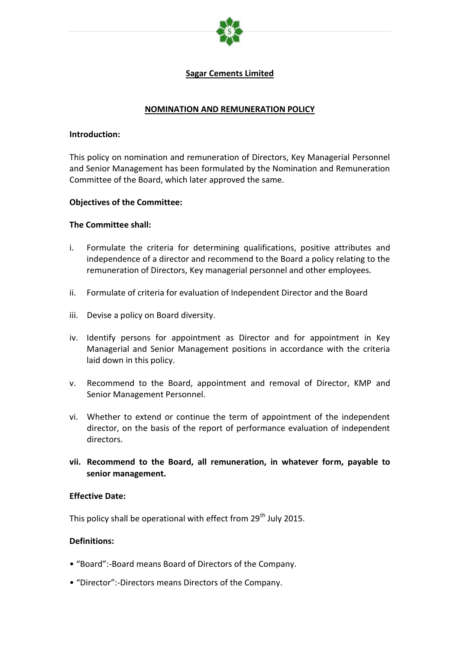

## **Sagar Cements Limited**

#### **NOMINATION AND REMUNERATION POLICY**

#### **Introduction:**

This policy on nomination and remuneration of Directors, Key Managerial Personnel and Senior Management has been formulated by the Nomination and Remuneration Committee of the Board, which later approved the same.

#### **Objectives of the Committee:**

#### **The Committee shall:**

- i. Formulate the criteria for determining qualifications, positive attributes and independence of a director and recommend to the Board a policy relating to the remuneration of Directors, Key managerial personnel and other employees.
- ii. Formulate of criteria for evaluation of Independent Director and the Board
- iii. Devise a policy on Board diversity.
- iv. Identify persons for appointment as Director and for appointment in Key Managerial and Senior Management positions in accordance with the criteria laid down in this policy.
- v. Recommend to the Board, appointment and removal of Director, KMP and Senior Management Personnel.
- vi. Whether to extend or continue the term of appointment of the independent director, on the basis of the report of performance evaluation of independent directors.
- **vii. Recommend to the Board, all remuneration, in whatever form, payable to senior management.**

#### **Effective Date:**

This policy shall be operational with effect from 29<sup>th</sup> July 2015.

#### **Definitions:**

- "Board":-Board means Board of Directors of the Company.
- "Director":-Directors means Directors of the Company.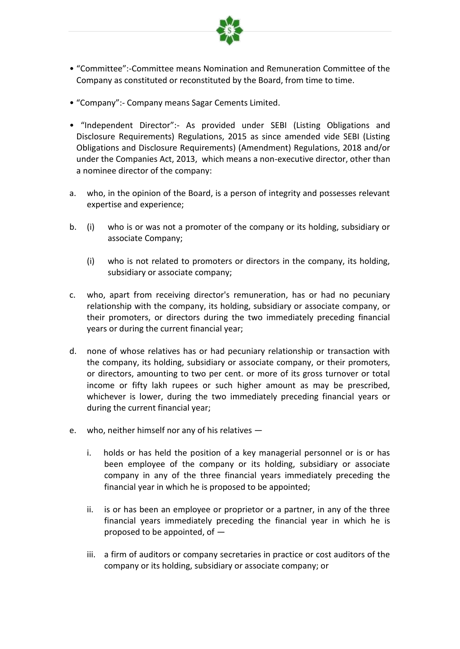

- "Committee":-Committee means Nomination and Remuneration Committee of the Company as constituted or reconstituted by the Board, from time to time.
- "Company":- Company means Sagar Cements Limited.
- "Independent Director":- As provided under SEBI (Listing Obligations and Disclosure Requirements) Regulations, 2015 as since amended vide SEBI (Listing Obligations and Disclosure Requirements) (Amendment) Regulations, 2018 and/or under the Companies Act, 2013, which means a non-executive director, other than a nominee director of the company:
- a. who, in the opinion of the Board, is a person of integrity and possesses relevant expertise and experience;
- b. (i) who is or was not a promoter of the company or its holding, subsidiary or associate Company;
	- (i) who is not related to promoters or directors in the company, its holding, subsidiary or associate company;
- c. who, apart from receiving director's remuneration, has or had no pecuniary relationship with the company, its holding, subsidiary or associate company, or their promoters, or directors during the two immediately preceding financial years or during the current financial year;
- d. none of whose relatives has or had pecuniary relationship or transaction with the company, its holding, subsidiary or associate company, or their promoters, or directors, amounting to two per cent. or more of its gross turnover or total income or fifty lakh rupees or such higher amount as may be prescribed, whichever is lower, during the two immediately preceding financial years or during the current financial year;
- e. who, neither himself nor any of his relatives
	- i. holds or has held the position of a key managerial personnel or is or has been employee of the company or its holding, subsidiary or associate company in any of the three financial years immediately preceding the financial year in which he is proposed to be appointed;
	- ii. is or has been an employee or proprietor or a partner, in any of the three financial years immediately preceding the financial year in which he is proposed to be appointed, of —
	- iii. a firm of auditors or company secretaries in practice or cost auditors of the company or its holding, subsidiary or associate company; or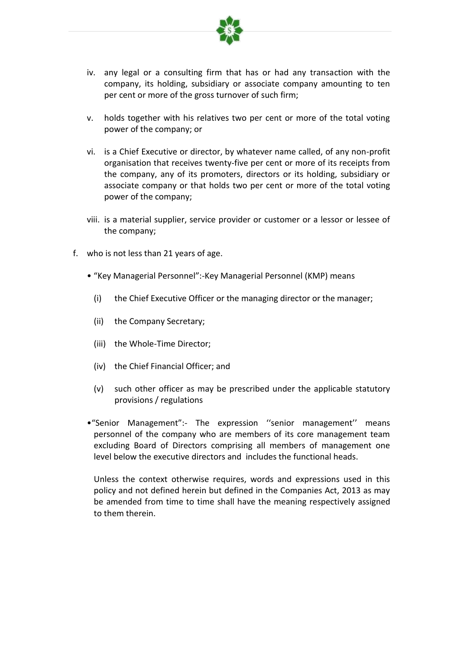

- iv. any legal or a consulting firm that has or had any transaction with the company, its holding, subsidiary or associate company amounting to ten per cent or more of the gross turnover of such firm;
- v. holds together with his relatives two per cent or more of the total voting power of the company; or
- vi. is a Chief Executive or director, by whatever name called, of any non-profit organisation that receives twenty-five per cent or more of its receipts from the company, any of its promoters, directors or its holding, subsidiary or associate company or that holds two per cent or more of the total voting power of the company;
- viii. is a material supplier, service provider or customer or a lessor or lessee of the company;
- f. who is not less than 21 years of age.
	- "Key Managerial Personnel":-Key Managerial Personnel (KMP) means
		- (i) the Chief Executive Officer or the managing director or the manager;
		- (ii) the Company Secretary;
		- (iii) the Whole-Time Director;
		- (iv) the Chief Financial Officer; and
		- (v) such other officer as may be prescribed under the applicable statutory provisions / regulations
	- •"Senior Management":- The expression ''senior management'' means personnel of the company who are members of its core management team excluding Board of Directors comprising all members of management one level below the executive directors and includes the functional heads.

Unless the context otherwise requires, words and expressions used in this policy and not defined herein but defined in the Companies Act, 2013 as may be amended from time to time shall have the meaning respectively assigned to them therein.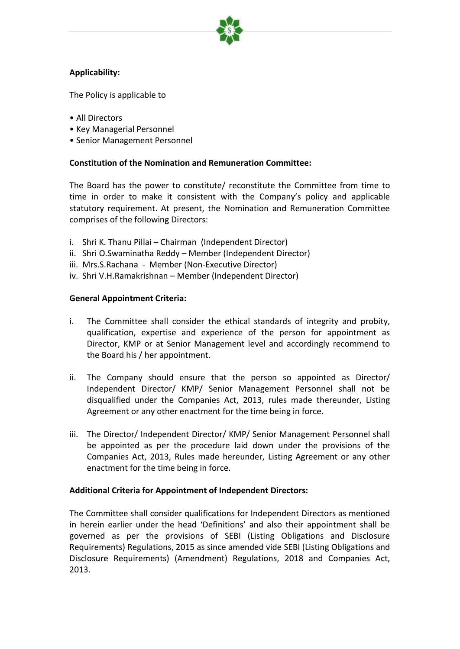

# **Applicability:**

The Policy is applicable to

- All Directors
- Key Managerial Personnel
- Senior Management Personnel

#### **Constitution of the Nomination and Remuneration Committee:**

The Board has the power to constitute/ reconstitute the Committee from time to time in order to make it consistent with the Company's policy and applicable statutory requirement. At present, the Nomination and Remuneration Committee comprises of the following Directors:

- i. Shri K. Thanu Pillai Chairman (Independent Director)
- ii. Shri O.Swaminatha Reddy Member (Independent Director)
- iii. Mrs.S.Rachana Member (Non-Executive Director)
- iv. Shri V.H.Ramakrishnan Member (Independent Director)

#### **General Appointment Criteria:**

- i. The Committee shall consider the ethical standards of integrity and probity, qualification, expertise and experience of the person for appointment as Director, KMP or at Senior Management level and accordingly recommend to the Board his / her appointment.
- ii. The Company should ensure that the person so appointed as Director/ Independent Director/ KMP/ Senior Management Personnel shall not be disqualified under the Companies Act, 2013, rules made thereunder, Listing Agreement or any other enactment for the time being in force.
- iii. The Director/ Independent Director/ KMP/ Senior Management Personnel shall be appointed as per the procedure laid down under the provisions of the Companies Act, 2013, Rules made hereunder, Listing Agreement or any other enactment for the time being in force.

#### **Additional Criteria for Appointment of Independent Directors:**

The Committee shall consider qualifications for Independent Directors as mentioned in herein earlier under the head 'Definitions' and also their appointment shall be governed as per the provisions of SEBI (Listing Obligations and Disclosure Requirements) Regulations, 2015 as since amended vide SEBI (Listing Obligations and Disclosure Requirements) (Amendment) Regulations, 2018 and Companies Act, 2013.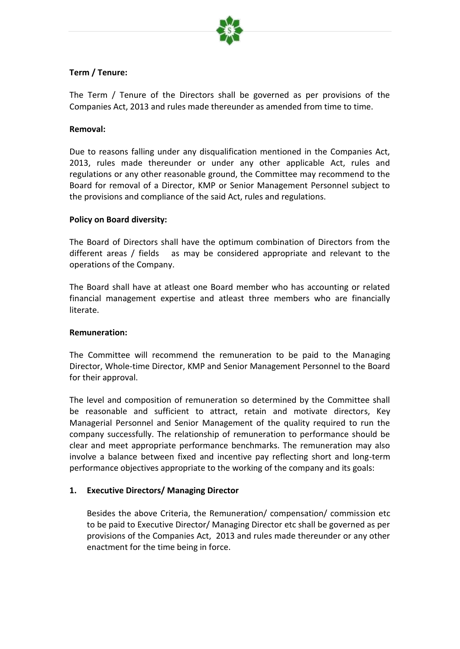

# **Term / Tenure:**

The Term / Tenure of the Directors shall be governed as per provisions of the Companies Act, 2013 and rules made thereunder as amended from time to time.

#### **Removal:**

Due to reasons falling under any disqualification mentioned in the Companies Act, 2013, rules made thereunder or under any other applicable Act, rules and regulations or any other reasonable ground, the Committee may recommend to the Board for removal of a Director, KMP or Senior Management Personnel subject to the provisions and compliance of the said Act, rules and regulations.

#### **Policy on Board diversity:**

The Board of Directors shall have the optimum combination of Directors from the different areas / fields as may be considered appropriate and relevant to the operations of the Company.

The Board shall have at atleast one Board member who has accounting or related financial management expertise and atleast three members who are financially literate.

#### **Remuneration:**

The Committee will recommend the remuneration to be paid to the Managing Director, Whole-time Director, KMP and Senior Management Personnel to the Board for their approval.

The level and composition of remuneration so determined by the Committee shall be reasonable and sufficient to attract, retain and motivate directors, Key Managerial Personnel and Senior Management of the quality required to run the company successfully. The relationship of remuneration to performance should be clear and meet appropriate performance benchmarks. The remuneration may also involve a balance between fixed and incentive pay reflecting short and long-term performance objectives appropriate to the working of the company and its goals:

#### **1. Executive Directors/ Managing Director**

Besides the above Criteria, the Remuneration/ compensation/ commission etc to be paid to Executive Director/ Managing Director etc shall be governed as per provisions of the Companies Act, 2013 and rules made thereunder or any other enactment for the time being in force.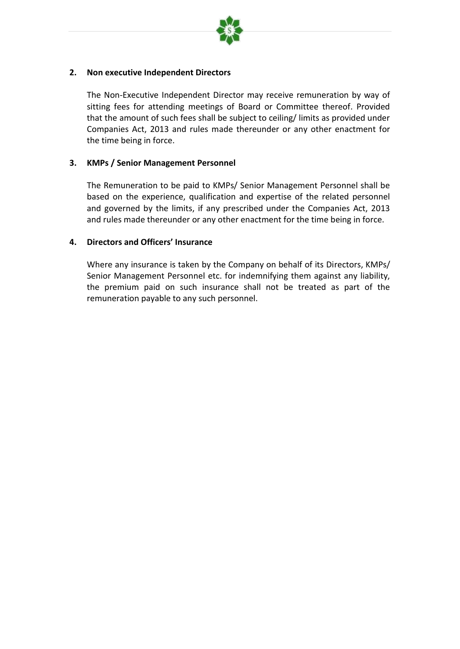

## **2. Non executive Independent Directors**

The Non-Executive Independent Director may receive remuneration by way of sitting fees for attending meetings of Board or Committee thereof. Provided that the amount of such fees shall be subject to ceiling/ limits as provided under Companies Act, 2013 and rules made thereunder or any other enactment for the time being in force.

## **3. KMPs / Senior Management Personnel**

The Remuneration to be paid to KMPs/ Senior Management Personnel shall be based on the experience, qualification and expertise of the related personnel and governed by the limits, if any prescribed under the Companies Act, 2013 and rules made thereunder or any other enactment for the time being in force.

## **4. Directors and Officers' Insurance**

Where any insurance is taken by the Company on behalf of its Directors, KMPs/ Senior Management Personnel etc. for indemnifying them against any liability, the premium paid on such insurance shall not be treated as part of the remuneration payable to any such personnel.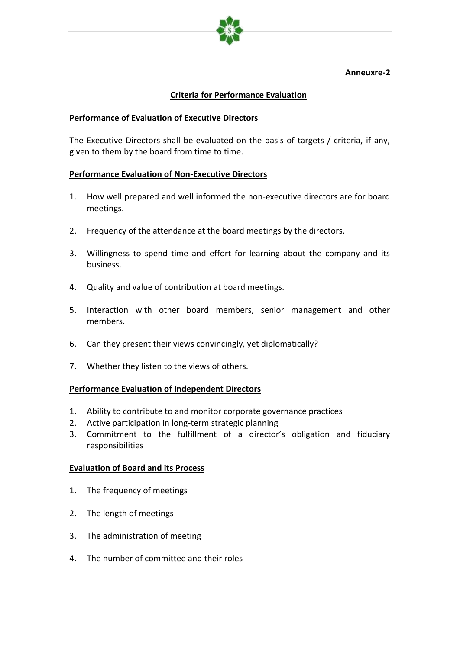

# **Anneuxre-2**

## **Criteria for Performance Evaluation**

## **Performance of Evaluation of Executive Directors**

The Executive Directors shall be evaluated on the basis of targets / criteria, if any, given to them by the board from time to time.

## **Performance Evaluation of Non-Executive Directors**

- 1. How well prepared and well informed the non-executive directors are for board meetings.
- 2. Frequency of the attendance at the board meetings by the directors.
- 3. Willingness to spend time and effort for learning about the company and its business.
- 4. Quality and value of contribution at board meetings.
- 5. Interaction with other board members, senior management and other members.
- 6. Can they present their views convincingly, yet diplomatically?
- 7. Whether they listen to the views of others.

#### **Performance Evaluation of Independent Directors**

- 1. Ability to contribute to and monitor corporate governance practices
- 2. Active participation in long-term strategic planning
- 3. Commitment to the fulfillment of a director's obligation and fiduciary responsibilities

#### **Evaluation of Board and its Process**

- 1. The frequency of meetings
- 2. The length of meetings
- 3. The administration of meeting
- 4. The number of committee and their roles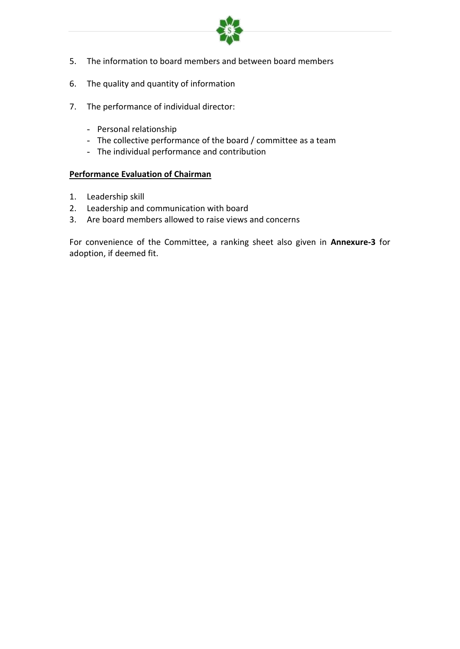

- 5. The information to board members and between board members
- 6. The quality and quantity of information
- 7. The performance of individual director:
	- Personal relationship
	- The collective performance of the board / committee as a team
	- The individual performance and contribution

## **Performance Evaluation of Chairman**

- 1. Leadership skill
- 2. Leadership and communication with board
- 3. Are board members allowed to raise views and concerns

For convenience of the Committee, a ranking sheet also given in **Annexure-3** for adoption, if deemed fit.